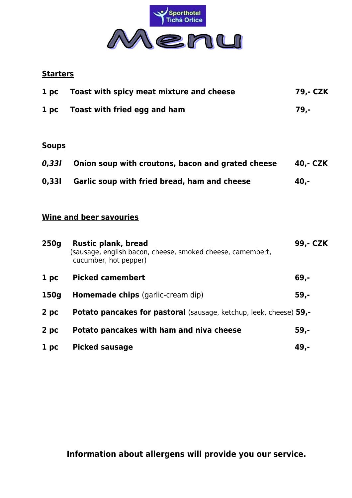

## **Starters**

| 1~pc | Toast with spicy meat mixture and cheese | 79.- CZK |
|------|------------------------------------------|----------|
| 1~pc | Toast with fried egg and ham             | 79.-     |

#### **Soups**

| 0,331 | Onion soup with croutons, bacon and grated cheese | 40,- CZK |
|-------|---------------------------------------------------|----------|
| 0,331 | Garlic soup with fried bread, ham and cheese      | 40.-     |

# **Wine and beer savouries**

| 250g                       | <b>Rustic plank, bread</b><br>(sausage, english bacon, cheese, smoked cheese, camembert,<br>cucumber, hot pepper) | 99,- CZK |
|----------------------------|-------------------------------------------------------------------------------------------------------------------|----------|
| 1 <sub>p<sub>c</sub></sub> | <b>Picked camembert</b>                                                                                           | $69,-$   |
| 150g                       | <b>Homemade chips</b> (garlic-cream dip)                                                                          | $59,-$   |
| 2 pc                       | Potato pancakes for pastoral (sausage, ketchup, leek, cheese) 59,-                                                |          |
| 2 pc                       | Potato pancakes with ham and niva cheese                                                                          | $59,-$   |
| 1 pc                       | <b>Picked sausage</b>                                                                                             | 49,-     |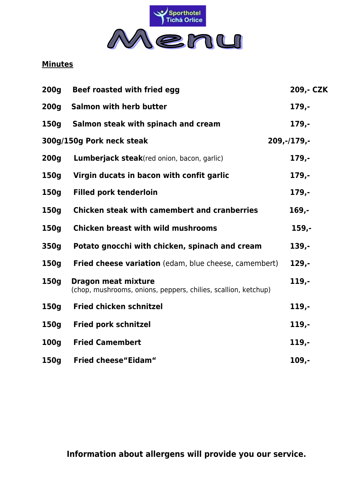

## **Minutes**

| 200 <sub>g</sub> | Beef roasted with fried egg                                                                  | 209,- CZK     |
|------------------|----------------------------------------------------------------------------------------------|---------------|
| 200 <sub>g</sub> | <b>Salmon with herb butter</b>                                                               | 179,-         |
| 150g             | Salmon steak with spinach and cream                                                          | $179,-$       |
|                  | 300g/150g Pork neck steak                                                                    | $209,-/179,-$ |
| 200g             | <b>Lumberjack steak</b> (red onion, bacon, garlic)                                           | $179,-$       |
| 150g             | Virgin ducats in bacon with confit garlic                                                    | $179,-$       |
| 150g             | <b>Filled pork tenderloin</b>                                                                | $179,-$       |
| 150g             | <b>Chicken steak with camembert and cranberries</b>                                          | $169,-$       |
| 150g             | <b>Chicken breast with wild mushrooms</b>                                                    | $159,-$       |
| 350g             | Potato gnocchi with chicken, spinach and cream                                               | 139,-         |
| 150g             | <b>Fried cheese variation</b> (edam, blue cheese, camembert)                                 | $129,-$       |
| 150g             | <b>Dragon meat mixture</b><br>(chop, mushrooms, onions, peppers, chilies, scallion, ketchup) | 119,-         |
| 150g             | <b>Fried chicken schnitzel</b>                                                               | $119,-$       |
| 150g             | <b>Fried pork schnitzel</b>                                                                  | $119,-$       |
| 100g             | <b>Fried Camembert</b>                                                                       | $119,-$       |
| 150g             | <b>Fried cheese "Eidam"</b>                                                                  | $109,-$       |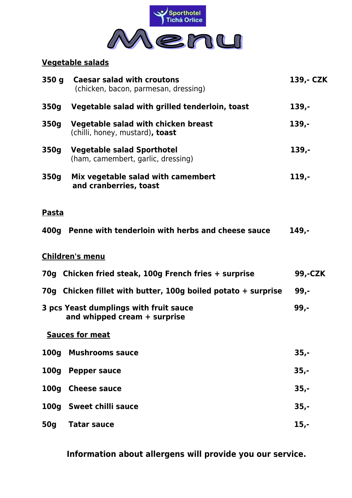

#### **Vegetable salads**

| 350q             | <b>Caesar salad with croutons</b><br>(chicken, bacon, parmesan, dressing) | 139,- CZK |
|------------------|---------------------------------------------------------------------------|-----------|
| 350g             | Vegetable salad with grilled tenderloin, toast                            | 139,-     |
| 350g             | Vegetable salad with chicken breast<br>(chilli, honey, mustard), toast    | $139,-$   |
| 350g             | <b>Vegetable salad Sporthotel</b><br>(ham, camembert, garlic, dressing)   | 139,-     |
| 350g             | Mix vegetable salad with camembert<br>and cranberries, toast              | $119,-$   |
| <b>Pasta</b>     |                                                                           |           |
| 400g             | Penne with tenderloin with herbs and cheese sauce                         | 149,-     |
|                  | <b>Children's menu</b>                                                    |           |
|                  | 70g Chicken fried steak, 100g French fries + surprise                     | 99,-CZK   |
|                  | 70g Chicken fillet with butter, 100g boiled potato + surprise             | $99,-$    |
|                  | 3 pcs Yeast dumplings with fruit sauce<br>and whipped cream + surprise    | $99. -$   |
|                  | <b>Sauces for meat</b>                                                    |           |
| <b>100g</b>      | <b>Mushrooms sauce</b>                                                    | $35,-$    |
| 100 <sub>g</sub> | <b>Pepper sauce</b>                                                       | $35,-$    |
| 100 <sub>g</sub> | <b>Cheese sauce</b>                                                       | $35,-$    |
| <b>100g</b>      | <b>Sweet chilli sauce</b>                                                 | $35,-$    |
| 50g              | <b>Tatar sauce</b>                                                        | $15,-$    |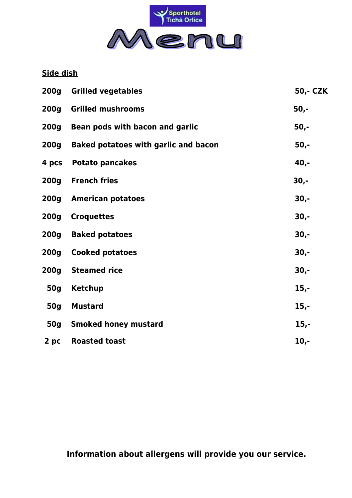

**Side dish**

| 200g       | <b>Grilled vegetables</b>                   | 50,- CZK |
|------------|---------------------------------------------|----------|
| 200g       | <b>Grilled mushrooms</b>                    | $50,-$   |
| 200g       | Bean pods with bacon and garlic             | $50,-$   |
| 200g       | <b>Baked potatoes with garlic and bacon</b> | $50,-$   |
| 4 pcs      | <b>Potato pancakes</b>                      | $40,-$   |
| 200g       | <b>French fries</b>                         | $30,-$   |
| 200g       | <b>American potatoes</b>                    | $30,-$   |
| 200g       | <b>Croquettes</b>                           | $30,-$   |
| 200g       | <b>Baked potatoes</b>                       | $30,-$   |
| 200g       | <b>Cooked potatoes</b>                      | $30,-$   |
| 200g       | <b>Steamed rice</b>                         | $30,-$   |
| <b>50g</b> | <b>Ketchup</b>                              | $15,-$   |
| <b>50g</b> | <b>Mustard</b>                              | $15,-$   |
| 50g        | <b>Smoked honey mustard</b>                 | $15,-$   |
| 2 pc       | <b>Roasted toast</b>                        | $10,-$   |